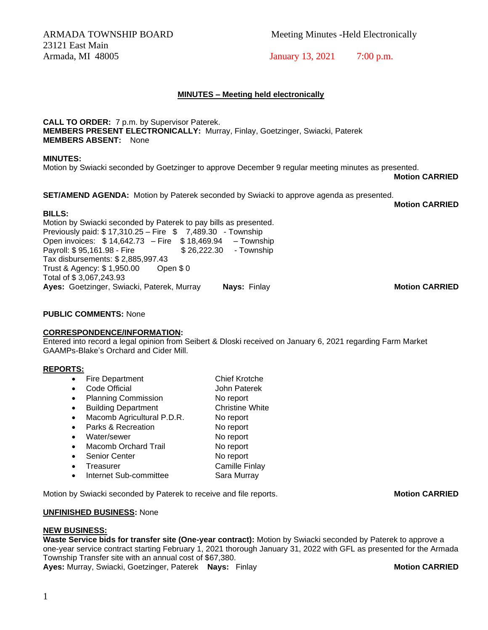23121 East Main Armada, MI 48005 January 13, 2021 7:00 p.m.

ARMADA TOWNSHIP BOARD Meeting Minutes -Held Electronically

# **MINUTES – Meeting held electronically**

**CALL TO ORDER:** 7 p.m. by Supervisor Paterek. **MEMBERS PRESENT ELECTRONICALLY:** Murray, Finlay, Goetzinger, Swiacki, Paterek **MEMBERS ABSENT:** None

## **MINUTES:**

Motion by Swiacki seconded by Goetzinger to approve December 9 regular meeting minutes as presented.

**Motion CARRIED**

**SET/AMEND AGENDA:** Motion by Paterek seconded by Swiacki to approve agenda as presented.

**Motion CARRIED**

**BILLS:**  Motion by Swiacki seconded by Paterek to pay bills as presented. Previously paid: \$ 17,310.25 – Fire \$ 7,489.30 - Township Open invoices: \$ 14,642.73 – Fire \$ 18,469.94 – Township Payroll: \$95,161.98 - Fire \$ 26,222.30 - Township Tax disbursements: \$ 2,885,997.43 Trust & Agency: \$ 1,950.00 Open \$ 0 Total of \$ 3,067,243.93 **Ayes:** Goetzinger, Swiacki, Paterek, Murray **Nays:** Finlay **Motion CARRIED**

**PUBLIC COMMENTS:** None

## **CORRESPONDENCE/INFORMATION:**

Entered into record a legal opinion from Seibert & Dloski received on January 6, 2021 regarding Farm Market GAAMPs-Blake's Orchard and Cider Mill.

## **REPORTS:**

- Fire Department Chief Krotche
- Code Official John Paterek
- Planning Commission No report • Building Department Christine White
- Macomb Agricultural P.D.R. No report
- Parks & Recreation No report
- Water/sewer No report • Macomb Orchard Trail No report
- Senior Center No report
- **Treasurer Camille Finlay**
- Internet Sub-committee Sara Murray

Motion by Swiacki seconded by Paterek to receive and file reports. **Motion CARRIED** 

## **UNFINISHED BUSINESS:** None

## **NEW BUSINESS:**

**Waste Service bids for transfer site (One-year contract):** Motion by Swiacki seconded by Paterek to approve a one-year service contract starting February 1, 2021 thorough January 31, 2022 with GFL as presented for the Armada Township Transfer site with an annual cost of \$67,380. **Ayes:** Murray, Swiacki, Goetzinger, Paterek **Nays:** Finlay **Motion CARRIED**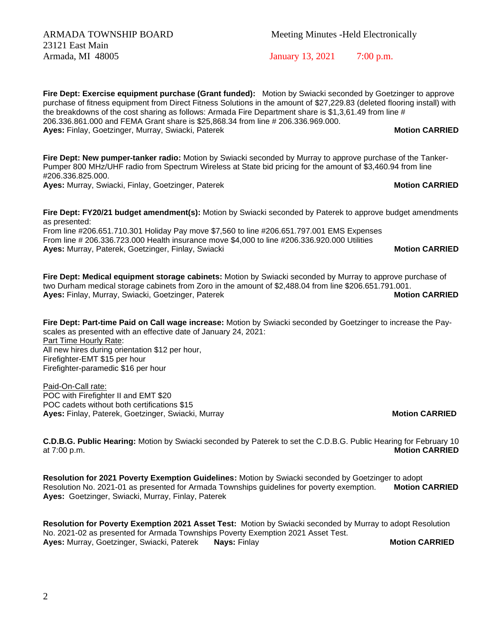23121 East Main

**Fire Dept: Exercise equipment purchase (Grant funded):** Motion by Swiacki seconded by Goetzinger to approve purchase of fitness equipment from Direct Fitness Solutions in the amount of \$27,229.83 (deleted flooring install) with the breakdowns of the cost sharing as follows: Armada Fire Department share is \$1,3,61.49 from line # 206.336.861.000 and FEMA Grant share is \$25,868.34 from line # 206.336.969.000. **Ayes:** Finlay, Goetzinger, Murray, Swiacki, Paterek **Music Communist CARRIED Motion CARRIED** 

**Fire Dept: New pumper-tanker radio:** Motion by Swiacki seconded by Murray to approve purchase of the Tanker-Pumper 800 MHz/UHF radio from Spectrum Wireless at State bid pricing for the amount of \$3,460.94 from line #206.336.825.000.

**Ayes:** Murray, Swiacki, Finlay, Goetzinger, Paterek **Music Communist CARRIED Motion CARRIED** 

**Fire Dept: FY20/21 budget amendment(s):** Motion by Swiacki seconded by Paterek to approve budget amendments as presented:

From line #206.651.710.301 Holiday Pay move \$7,560 to line #206.651.797.001 EMS Expenses From line # 206.336.723.000 Health insurance move \$4,000 to line #206.336.920.000 Utilities **Ayes:** Murray, Paterek, Goetzinger, Finlay, Swiacki **Music Communist CARRIED Motion CARRIED** 

**Fire Dept: Medical equipment storage cabinets:** Motion by Swiacki seconded by Murray to approve purchase of two Durham medical storage cabinets from Zoro in the amount of \$2,488.04 from line \$206.651.791.001. **Ayes:** Finlay, Murray, Swiacki, Goetzinger, Paterek **Motion CARRIED Motion CARRIED** 

**Fire Dept: Part-time Paid on Call wage increase:** Motion by Swiacki seconded by Goetzinger to increase the Payscales as presented with an effective date of January 24, 2021: Part Time Hourly Rate: All new hires during orientation \$12 per hour, Firefighter-EMT \$15 per hour Firefighter-paramedic \$16 per hour

Paid-On-Call rate: POC with Firefighter II and EMT \$20 POC cadets without both certifications \$15 **Ayes:** Finlay, Paterek, Goetzinger, Swiacki, Murray **Motion CARRIED**

**C.D.B.G. Public Hearing:** Motion by Swiacki seconded by Paterek to set the C.D.B.G. Public Hearing for February 10 at 7:00 p.m. **Motion CARRIED**

**Resolution for 2021 Poverty Exemption Guidelines:** Motion by Swiacki seconded by Goetzinger to adopt Resolution No. 2021-01 as presented for Armada Townships guidelines for poverty exemption. **Motion CARRIED Ayes:** Goetzinger, Swiacki, Murray, Finlay, Paterek

**Resolution for Poverty Exemption 2021 Asset Test:** Motion by Swiacki seconded by Murray to adopt Resolution No. 2021-02 as presented for Armada Townships Poverty Exemption 2021 Asset Test. **Ayes:** Murray, Goetzinger, Swiacki, Paterek **Nays:** Finlay **Motion CARRIED**

Armada, MI 48005 January 13, 2021 7:00 p.m.